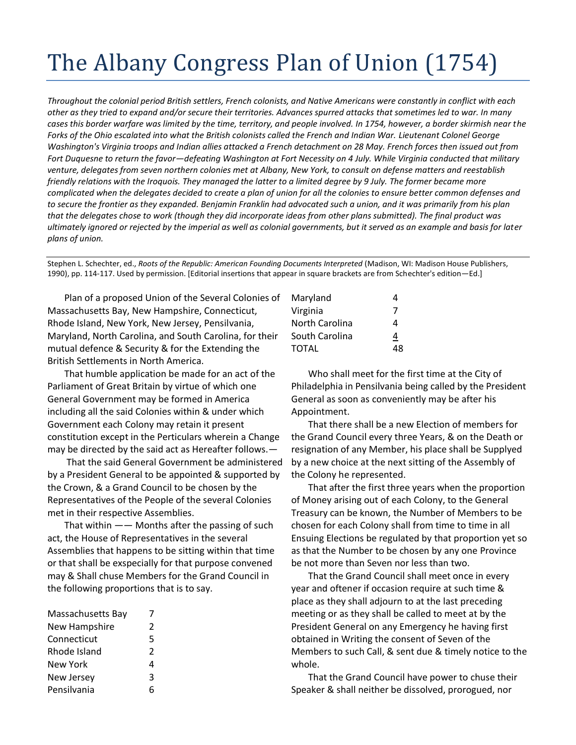## The Albany Congress Plan of Union (1754)

*Throughout the colonial period British settlers, French colonists, and Native Americans were constantly in conflict with each other as they tried to expand and/or secure their territories. Advances spurred attacks that sometimes led to war. In many cases this border warfare was limited by the time, territory, and people involved. In 1754, however, a border skirmish near the Forks of the Ohio escalated into what the British colonists called the French and Indian War. Lieutenant Colonel George Washington's Virginia troops and Indian allies attacked a French detachment on 28 May. French forces then issued out from Fort Duquesne to return the favor—defeating Washington at Fort Necessity on 4 July. While Virginia conducted that military venture, delegates from seven northern colonies met at Albany, New York, to consult on defense matters and reestablish friendly relations with the Iroquois. They managed the latter to a limited degree by 9 July. The former became more complicated when the delegates decided to create a plan of union for all the colonies to ensure better common defenses and to secure the frontier as they expanded. Benjamin Franklin had advocated such a union, and it was primarily from his plan that the delegates chose to work (though they did incorporate ideas from other plans submitted). The final product was ultimately ignored or rejected by the imperial as well as colonial governments, but it served as an example and basis for later plans of union.*

Stephen L. Schechter, ed., *Roots of the Republic: American Founding Documents Interpreted* (Madison, WI: Madison House Publishers, 1990), pp. 114-117. Used by permission. [Editorial insertions that appear in square brackets are from Schechter's edition—Ed.]

Plan of a proposed Union of the Several Colonies of Massachusetts Bay, New Hampshire, Connecticut, Rhode Island, New York, New Jersey, Pensilvania, Maryland, North Carolina, and South Carolina, for their mutual defence & Security & for the Extending the British Settlements in North America.

That humble application be made for an act of the Parliament of Great Britain by virtue of which one General Government may be formed in America including all the said Colonies within & under which Government each Colony may retain it present constitution except in the Perticulars wherein a Change may be directed by the said act as Hereafter follows.—

That the said General Government be administered by a President General to be appointed & supported by the Crown, & a Grand Council to be chosen by the Representatives of the People of the several Colonies met in their respective Assemblies.

That within  $-\frac{1}{2}$  Months after the passing of such act, the House of Representatives in the several Assemblies that happens to be sitting within that time or that shall be exspecially for that purpose convened may & Shall chuse Members for the Grand Council in the following proportions that is to say.

| Massachusetts Bay |   |
|-------------------|---|
| New Hampshire     | 2 |
| Connecticut       | 5 |
| Rhode Island      | 2 |
| <b>New York</b>   | 4 |
| New Jersey        | κ |
| Pensilvania       |   |

| 4  |
|----|
| 7  |
| 4  |
| 4  |
| 48 |
|    |

Who shall meet for the first time at the City of Philadelphia in Pensilvania being called by the President General as soon as conveniently may be after his Appointment.

That there shall be a new Election of members for the Grand Council every three Years, & on the Death or resignation of any Member, his place shall be Supplyed by a new choice at the next sitting of the Assembly of the Colony he represented.

That after the first three years when the proportion of Money arising out of each Colony, to the General Treasury can be known, the Number of Members to be chosen for each Colony shall from time to time in all Ensuing Elections be regulated by that proportion yet so as that the Number to be chosen by any one Province be not more than Seven nor less than two.

That the Grand Council shall meet once in every year and oftener if occasion require at such time & place as they shall adjourn to at the last preceding meeting or as they shall be called to meet at by the President General on any Emergency he having first obtained in Writing the consent of Seven of the Members to such Call, & sent due & timely notice to the whole.

That the Grand Council have power to chuse their Speaker & shall neither be dissolved, prorogued, nor